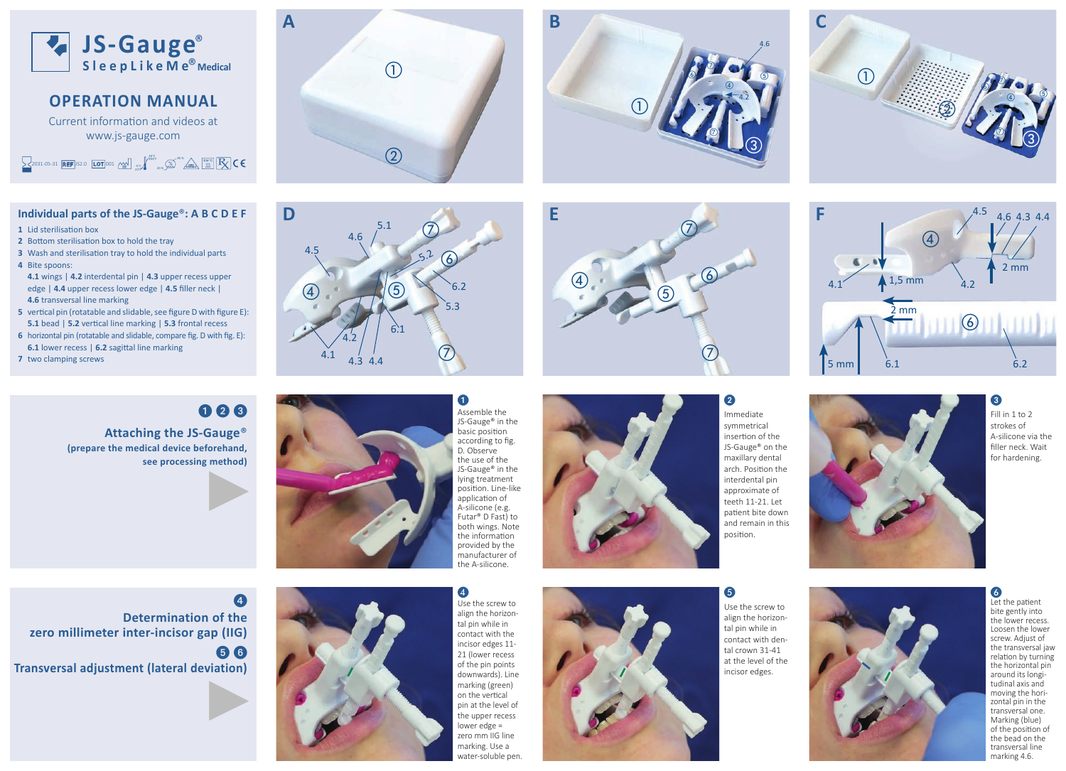

### **OPERATION MANUAL**

Current information and videos at www.js-gauge.com

2031-05-31 **REF** JS2.0 **LOT** 001  $\cos \left( \frac{1}{2} \right)$ 95 % 20 %

### **Individual parts of the JS-Gauge** ®**: A B C D E F**

**1** Lid sterilisation box

- **2** Bottom sterilisation box to hold the tray
- **3** Wash and sterilisation tray to hold the individual parts
- **4** Bite spoons:

**4.1** wings | **4.2** interdental pin | **4.3** upper recess upper edge | 4.4 upper recess lower edge | 4.5 filler neck | **4.6 transversal line marking** 

- **5** vertical pin (rotatable and slidable, see figure D with figure E): **5.1** bead | **5.2** vertical line marking | **5.3** frontal recess
- **6** horizontal pin (rotatable and slidable, compare fig. D with fig. E): **6.1** lower recess | 6.2 sagittal line marking
- **7** two clamping screws

# 000

**Attaching the JS-Gauge** ® **(prepare the medical device beforehand, see processing method)** 







**BE**

E

B

 $\bigcircledA$ 



Immediate symmetrical insertion of the JS-Gauge® on the maxillary dental arch. Position the interdental pin approximate of teeth 11-21. Let patient bite down and remain in this position.



 $\circled{2}$ 



 $\bigcap$ 

❸ Fill in 1 to 2 strokes of A-silicone via the filler neck. Wait for hardening.

 $\circledS$ 

 $\circledS$ 

④

O NO

 $\sqrt{6}$ 

**333**<br> **333**<br> **333**<br> **3333**<br> **33333**<br> **33333**<br> **33333**<br> **33333**  $\overline{\mathbf{a}}$ **Determination of the zero millimeter inter-incisor gap (IIG)**  $56$ **Transversal adjustment (lateral deviation)**



 $\overline{\mathbf{A}}$ Use the screw to align the horizontal pin while in contact with the incisor edges 11- 21 (lower recess of the pin points downwards). Line marking (green) on the vertical pin at the level of the upper recess lower edge = zero mm IIG line marking. Use a water-soluble pen.

Futar® D Fast) to both wings. Note the information provided by the manufacturer of the A-silicone.



align the horizontal pin while in contact with dental crown 31-41 at the level of the incisor edges.

6

2

 $\bigcirc$  $\mathcal Q$ 

 $\bigcirc$ 

 $\bigcirc$ 

 $^\copyright$ 

 $\circledS$ 

 $\bigcirc$ 

 $\circleds$ 

4.6

 $\circledS$ 

④

4.2

 $_{\circ}$ 



 Let the patient bite gently into the lower recess. Loosen the lower screw. Adjust of the transversal jaw relation by turning the horizontal pin around its longitudinal axis and moving the hori zontal pin in the transversal one. Marking (blue) of the position of the bead on the transversal line marking 4.6.

Use the screw to